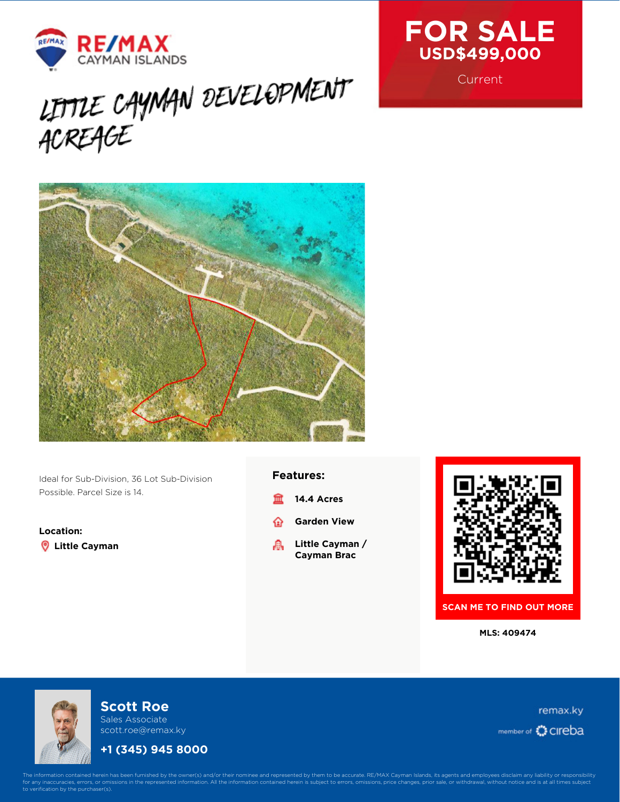

# LITTLE CAYMAN DEVELOPMENT



Ideal for Sub-Division, 36 Lot Sub-Division Possible. Parcel Size is 14.

**Location: Little Cayman**

#### **Features:**

- **14.4 Acres** m
- **Garden View** ⋒
- **Little Cayman /** 矗 **Cayman Brac**



**SCAN ME TO FIND OUT MORE**

**MLS: 409474**



## **Scott Roe**

Sales Associate scott.roe@remax.ky

## **+1 (345) 945 8000**

remax.ky member of CIreba



**Current** 

The information contained herein has been furnished by the owner(s) and/or their nominee and represented by them to be accurate. RE/MAX Cayman Islands, its agents and employees disclaim any liability or responsibility<br>for fication by the purchaser(s).